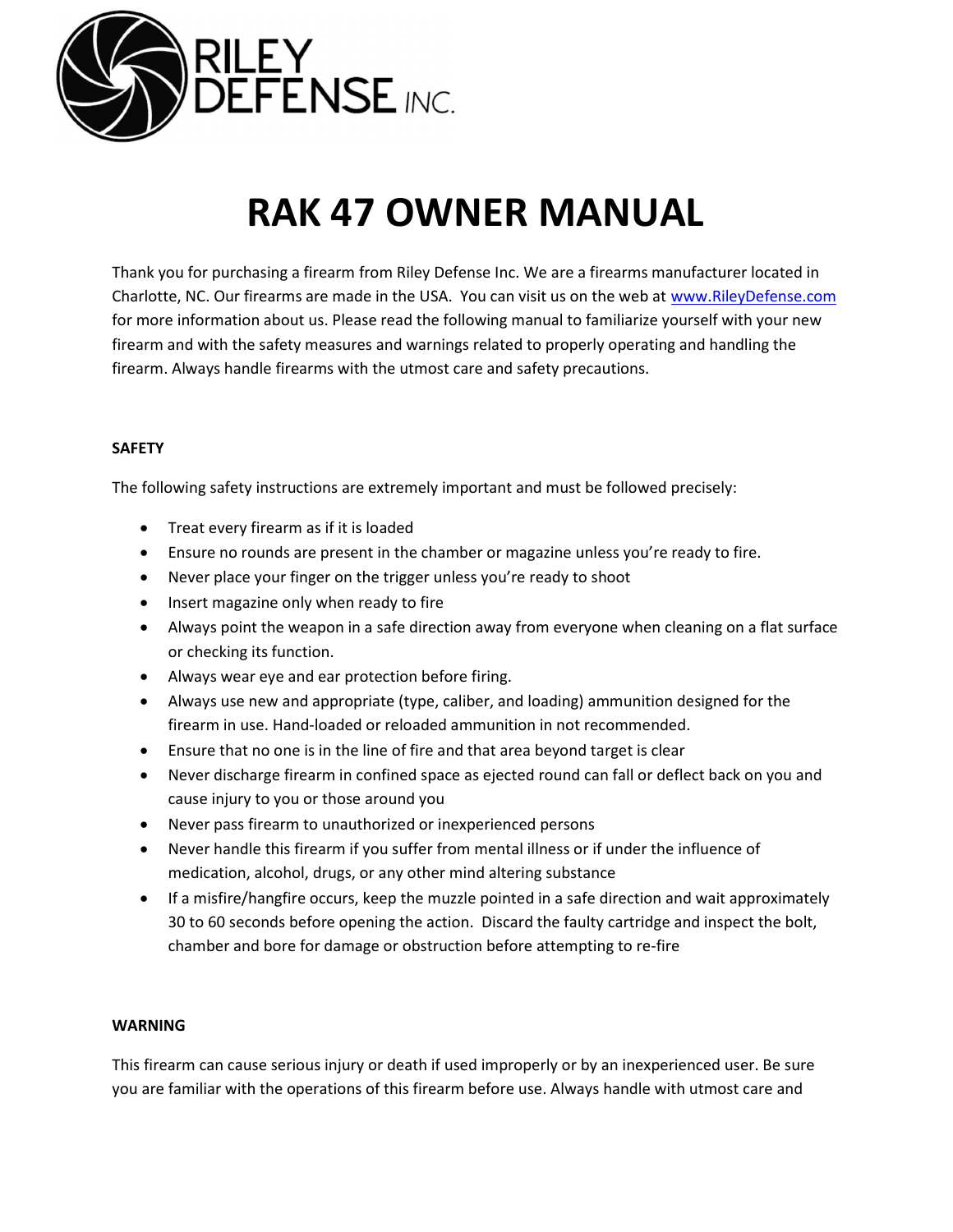

# RAK 47 OWNER MANUAL

Thank you for purchasing a firearm from Riley Defense Inc. We are a firearms manufacturer located in Charlotte, NC. Our firearms are made in the USA. You can visit us on the web at www.RileyDefense.com for more information about us. Please read the following manual to familiarize yourself with your new firearm and with the safety measures and warnings related to properly operating and handling the firearm. Always handle firearms with the utmost care and safety precautions.

## SAFETY

The following safety instructions are extremely important and must be followed precisely:

- Treat every firearm as if it is loaded
- Ensure no rounds are present in the chamber or magazine unless you're ready to fire.
- Never place your finger on the trigger unless you're ready to shoot
- Insert magazine only when ready to fire
- Always point the weapon in a safe direction away from everyone when cleaning on a flat surface or checking its function.
- Always wear eye and ear protection before firing.
- Always use new and appropriate (type, caliber, and loading) ammunition designed for the firearm in use. Hand-loaded or reloaded ammunition in not recommended.
- Ensure that no one is in the line of fire and that area beyond target is clear
- Never discharge firearm in confined space as ejected round can fall or deflect back on you and cause injury to you or those around you
- Never pass firearm to unauthorized or inexperienced persons
- Never handle this firearm if you suffer from mental illness or if under the influence of medication, alcohol, drugs, or any other mind altering substance
- If a misfire/hangfire occurs, keep the muzzle pointed in a safe direction and wait approximately 30 to 60 seconds before opening the action. Discard the faulty cartridge and inspect the bolt, chamber and bore for damage or obstruction before attempting to re-fire

### WARNING

This firearm can cause serious injury or death if used improperly or by an inexperienced user. Be sure you are familiar with the operations of this firearm before use. Always handle with utmost care and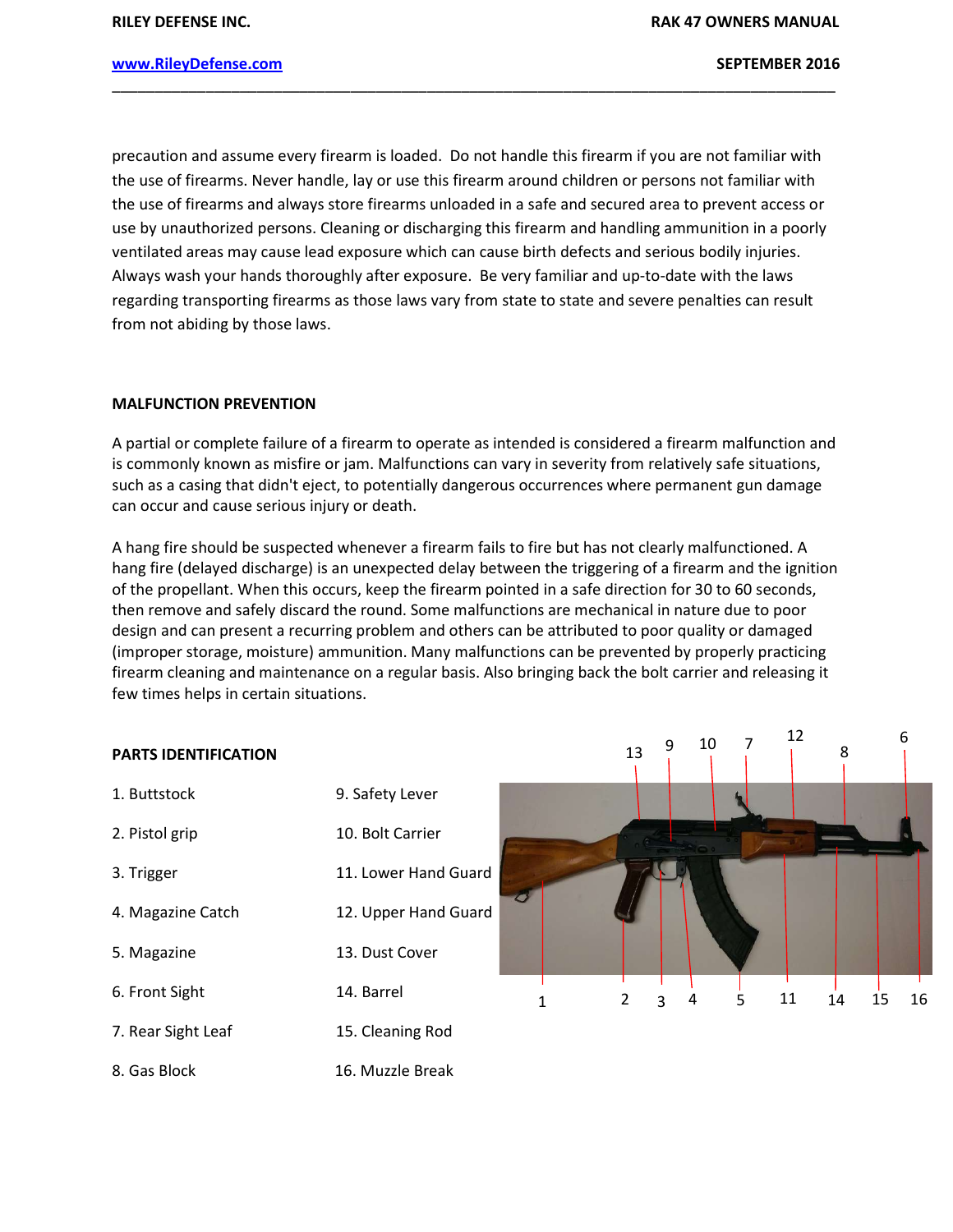12

8

16

### www.RileyDefense.com and the settlement of the settlement of the SEPTEMBER 2016

precaution and assume every firearm is loaded. Do not handle this firearm if you are not familiar with the use of firearms. Never handle, lay or use this firearm around children or persons not familiar with the use of firearms and always store firearms unloaded in a safe and secured area to prevent access or use by unauthorized persons. Cleaning or discharging this firearm and handling ammunition in a poorly ventilated areas may cause lead exposure which can cause birth defects and serious bodily injuries. Always wash your hands thoroughly after exposure. Be very familiar and up-to-date with the laws regarding transporting firearms as those laws vary from state to state and severe penalties can result from not abiding by those laws.

\_\_\_\_\_\_\_\_\_\_\_\_\_\_\_\_\_\_\_\_\_\_\_\_\_\_\_\_\_\_\_\_\_\_\_\_\_\_\_\_\_\_\_\_\_\_\_\_\_\_\_\_\_\_\_\_\_\_\_\_\_\_\_\_\_\_\_\_\_\_\_\_\_\_\_\_\_\_\_\_\_\_\_\_\_

#### MALFUNCTION PREVENTION

A partial or complete failure of a firearm to operate as intended is considered a firearm malfunction and is commonly known as misfire or jam. Malfunctions can vary in severity from relatively safe situations, such as a casing that didn't eject, to potentially dangerous occurrences where permanent gun damage can occur and cause serious injury or death.

A hang fire should be suspected whenever a firearm fails to fire but has not clearly malfunctioned. A hang fire (delayed discharge) is an unexpected delay between the triggering of a firearm and the ignition of the propellant. When this occurs, keep the firearm pointed in a safe direction for 30 to 60 seconds, then remove and safely discard the round. Some malfunctions are mechanical in nature due to poor design and can present a recurring problem and others can be attributed to poor quality or damaged (improper storage, moisture) ammunition. Many malfunctions can be prevented by properly practicing firearm cleaning and maintenance on a regular basis. Also bringing back the bolt carrier and releasing it few times helps in certain situations.

# PARTS IDENTIFICATION 1. Buttstock 9. Safety Lever 2. Pistol grip 10. Bolt Carrier 3. Trigger 11. Lower Hand Guard 4. Magazine Catch 12. Upper Hand Guard 5. Magazine 13. Dust Cover 6. Front Sight 14. Barrel 7. Rear Sight Leaf 15. Cleaning Rod 8. Gas Block 16. Muzzle Break 1 2 3 4 5 11 14 15 13 9 10 7  $\frac{12}{9}$  8 10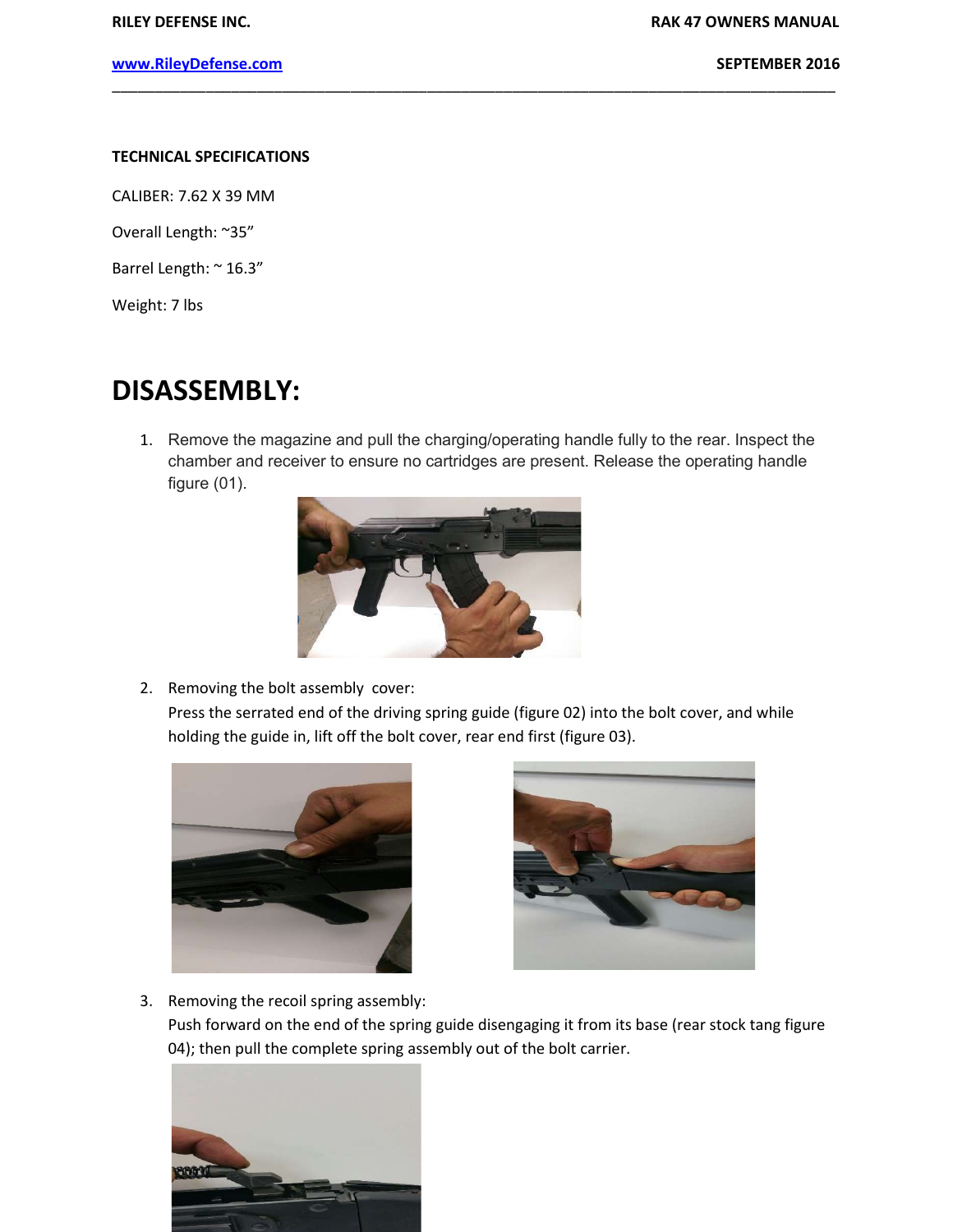### TECHNICAL SPECIFICATIONS

CALIBER: 7.62 X 39 MM

Overall Length: ~35"

Barrel Length: ~ 16.3"

Weight: 7 lbs

# DISASSEMBLY:

1. Remove the magazine and pull the charging/operating handle fully to the rear. Inspect the chamber and receiver to ensure no cartridges are present. Release the operating handle figure (01).

\_\_\_\_\_\_\_\_\_\_\_\_\_\_\_\_\_\_\_\_\_\_\_\_\_\_\_\_\_\_\_\_\_\_\_\_\_\_\_\_\_\_\_\_\_\_\_\_\_\_\_\_\_\_\_\_\_\_\_\_\_\_\_\_\_\_\_\_\_\_\_\_\_\_\_\_\_\_\_\_\_\_\_\_\_



2. Removing the bolt assembly cover:

Press the serrated end of the driving spring guide (figure 02) into the bolt cover, and while holding the guide in, lift off the bolt cover, rear end first (figure 03).





3. Removing the recoil spring assembly:

Push forward on the end of the spring guide disengaging it from its base (rear stock tang figure 04); then pull the complete spring assembly out of the bolt carrier.

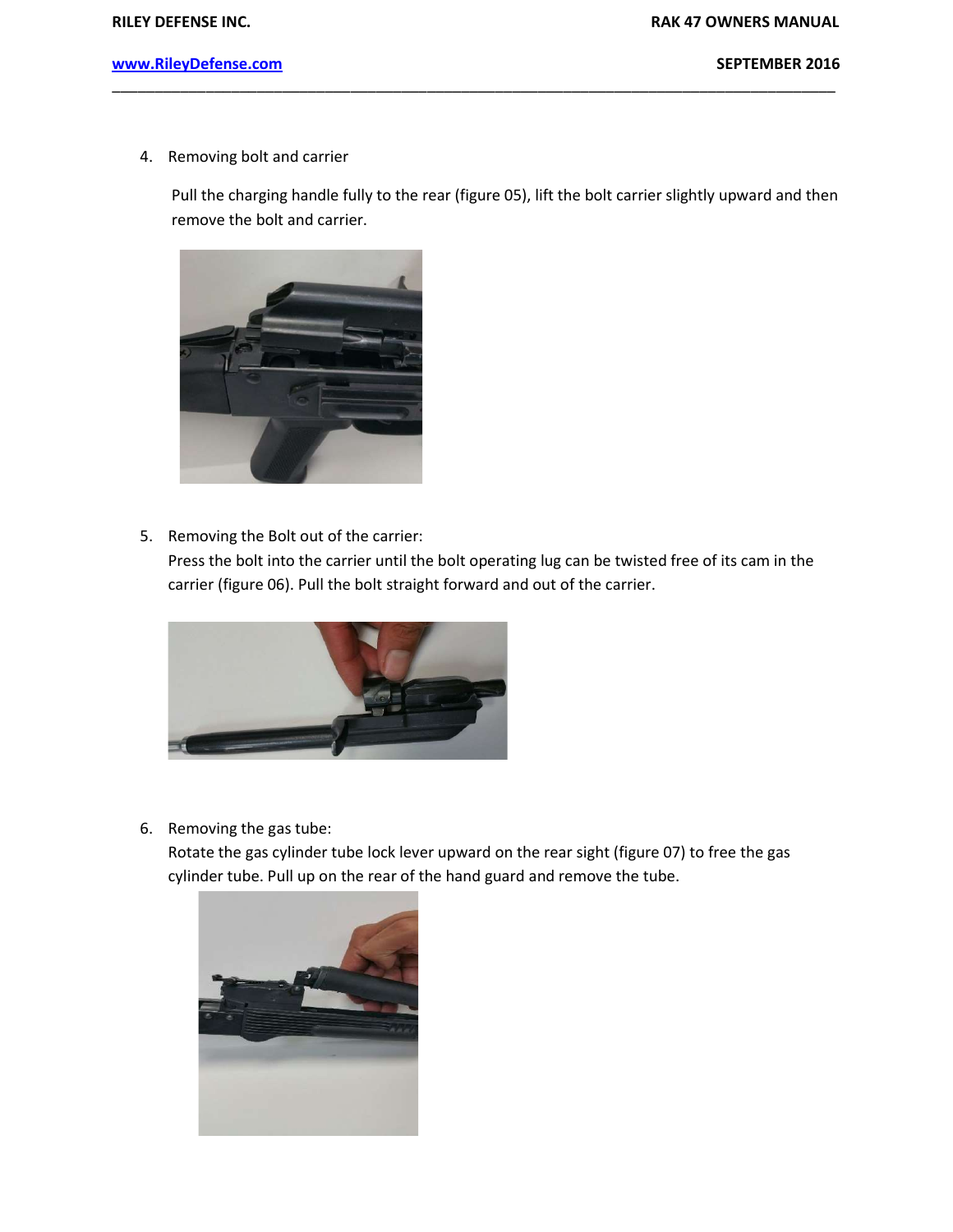4. Removing bolt and carrier

Pull the charging handle fully to the rear (figure 05), lift the bolt carrier slightly upward and then remove the bolt and carrier.

\_\_\_\_\_\_\_\_\_\_\_\_\_\_\_\_\_\_\_\_\_\_\_\_\_\_\_\_\_\_\_\_\_\_\_\_\_\_\_\_\_\_\_\_\_\_\_\_\_\_\_\_\_\_\_\_\_\_\_\_\_\_\_\_\_\_\_\_\_\_\_\_\_\_\_\_\_\_\_\_\_\_\_\_\_



5. Removing the Bolt out of the carrier:

Press the bolt into the carrier until the bolt operating lug can be twisted free of its cam in the carrier (figure 06). Pull the bolt straight forward and out of the carrier.



6. Removing the gas tube:

Rotate the gas cylinder tube lock lever upward on the rear sight (figure 07) to free the gas cylinder tube. Pull up on the rear of the hand guard and remove the tube.